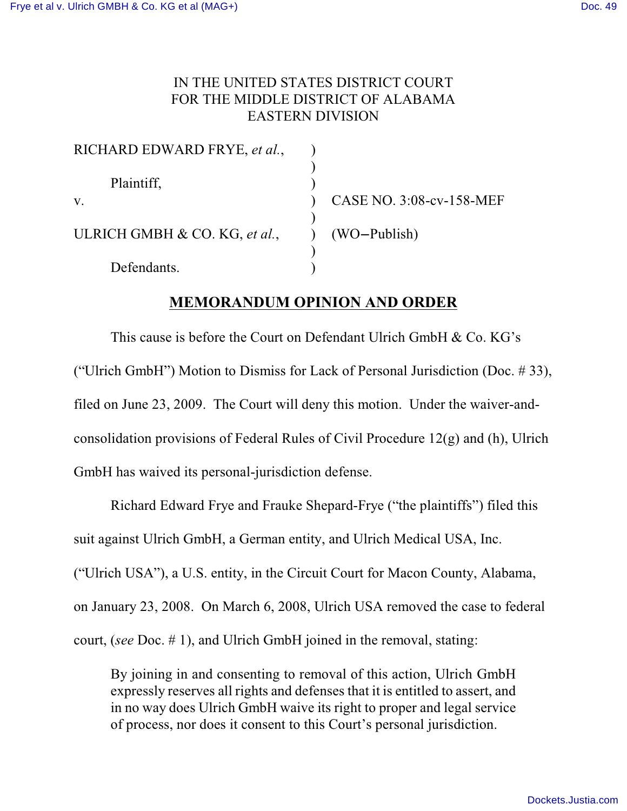## IN THE UNITED STATES DISTRICT COURT FOR THE MIDDLE DISTRICT OF ALABAMA EASTERN DIVISION

| RICHARD EDWARD FRYE, et al.,  |                          |
|-------------------------------|--------------------------|
|                               |                          |
| Plaintiff,                    |                          |
| V.                            | CASE NO. 3:08-cv-158-MEF |
|                               |                          |
| ULRICH GMBH & CO. KG, et al., | (WO-Publish)             |
|                               |                          |
| Defendants.                   |                          |

## **MEMORANDUM OPINION AND ORDER**

This cause is before the Court on Defendant Ulrich GmbH & Co. KG's ("Ulrich GmbH") Motion to Dismiss for Lack of Personal Jurisdiction (Doc.  $\#$  33), filed on June 23, 2009. The Court will deny this motion. Under the waiver-andconsolidation provisions of Federal Rules of Civil Procedure 12(g) and (h), Ulrich GmbH has waived its personal-jurisdiction defense.

Richard Edward Frye and Frauke Shepard-Frye ("the plaintiffs") filed this suit against Ulrich GmbH, a German entity, and Ulrich Medical USA, Inc. ("Ulrich USA"), a U.S. entity, in the Circuit Court for Macon County, Alabama, on January 23, 2008. On March 6, 2008, Ulrich USA removed the case to federal court, (*see* Doc. # 1), and Ulrich GmbH joined in the removal, stating:

By joining in and consenting to removal of this action, Ulrich GmbH expressly reserves all rights and defenses that it is entitled to assert, and in no way does Ulrich GmbH waive its right to proper and legal service of process, nor does it consent to this Court's personal jurisdiction.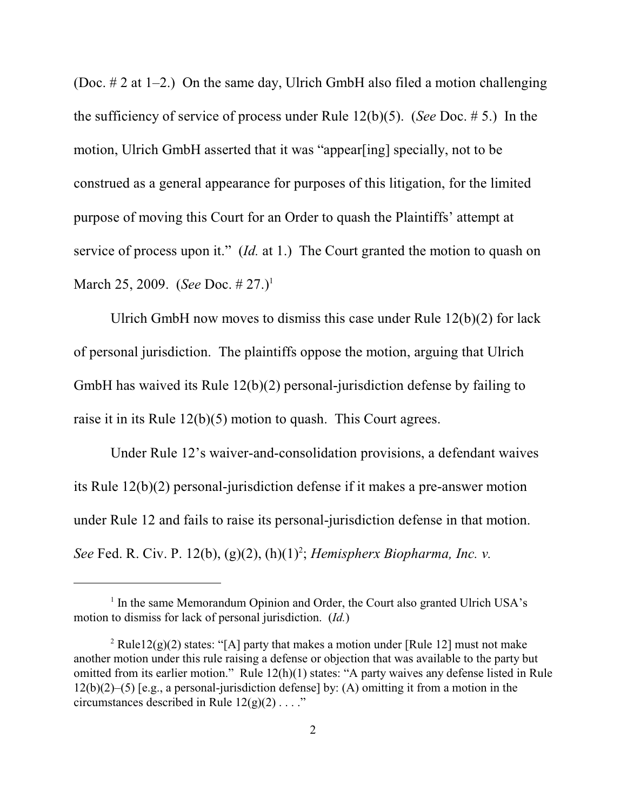(Doc.  $\# 2$  at 1–2.) On the same day, Ulrich GmbH also filed a motion challenging the sufficiency of service of process under Rule 12(b)(5). (*See* Doc. # 5.) In the motion, Ulrich GmbH asserted that it was "appear[ing] specially, not to be construed as a general appearance for purposes of this litigation, for the limited purpose of moving this Court for an Order to quash the Plaintiffs' attempt at service of process upon it." (*Id.* at 1.) The Court granted the motion to quash on March 25, 2009. (*See* Doc. # 27.)<sup>1</sup>

Ulrich GmbH now moves to dismiss this case under Rule 12(b)(2) for lack of personal jurisdiction. The plaintiffs oppose the motion, arguing that Ulrich GmbH has waived its Rule 12(b)(2) personal-jurisdiction defense by failing to raise it in its Rule 12(b)(5) motion to quash. This Court agrees.

Under Rule 12's waiver-and-consolidation provisions, a defendant waives its Rule 12(b)(2) personal-jurisdiction defense if it makes a pre-answer motion under Rule 12 and fails to raise its personal-jurisdiction defense in that motion. *See* Fed. R. Civ. P. 12(b), (g)(2), (h)(1)<sup>2</sup>; *Hemispherx Biopharma, Inc. v.* 

 $<sup>1</sup>$  In the same Memorandum Opinion and Order, the Court also granted Ulrich USA's</sup> motion to dismiss for lack of personal jurisdiction. (*Id.*)

<sup>&</sup>lt;sup>2</sup> Rule12(g)(2) states: "[A] party that makes a motion under [Rule 12] must not make another motion under this rule raising a defense or objection that was available to the party but omitted from its earlier motion." Rule 12(h)(1) states: "A party waives any defense listed in Rule 12(b)(2)–(5) [e.g., a personal-jurisdiction defense] by: (A) omitting it from a motion in the circumstances described in Rule  $12(g)(2) \ldots$ ."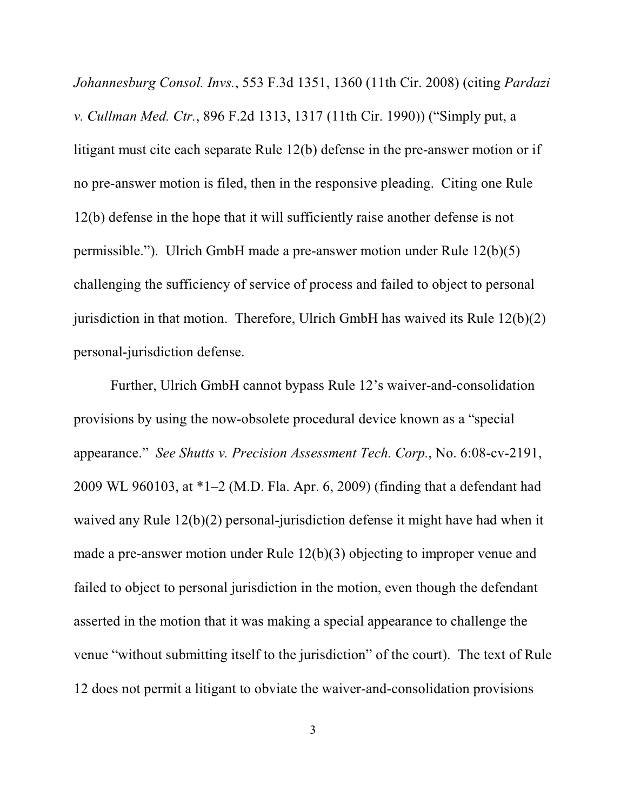*Johannesburg Consol. Invs.*, 553 F.3d 1351, 1360 (11th Cir. 2008) (citing *Pardazi v. Cullman Med. Ctr.*, 896 F.2d 1313, 1317 (11th Cir. 1990)) ("Simply put, a litigant must cite each separate Rule 12(b) defense in the pre-answer motion or if no pre-answer motion is filed, then in the responsive pleading. Citing one Rule 12(b) defense in the hope that it will sufficiently raise another defense is not permissible."). Ulrich GmbH made a pre-answer motion under Rule 12(b)(5) challenging the sufficiency of service of process and failed to object to personal jurisdiction in that motion. Therefore, Ulrich GmbH has waived its Rule  $12(b)(2)$ personal-jurisdiction defense.

Further, Ulrich GmbH cannot bypass Rule 12's waiver-and-consolidation provisions by using the now-obsolete procedural device known as a "special appearance." *See Shutts v. Precision Assessment Tech. Corp.*, No. 6:08-cv-2191, 2009 WL 960103, at \*1–2 (M.D. Fla. Apr. 6, 2009) (finding that a defendant had waived any Rule 12(b)(2) personal-jurisdiction defense it might have had when it made a pre-answer motion under Rule 12(b)(3) objecting to improper venue and failed to object to personal jurisdiction in the motion, even though the defendant asserted in the motion that it was making a special appearance to challenge the venue "without submitting itself to the jurisdiction" of the court). The text of Rule 12 does not permit a litigant to obviate the waiver-and-consolidation provisions